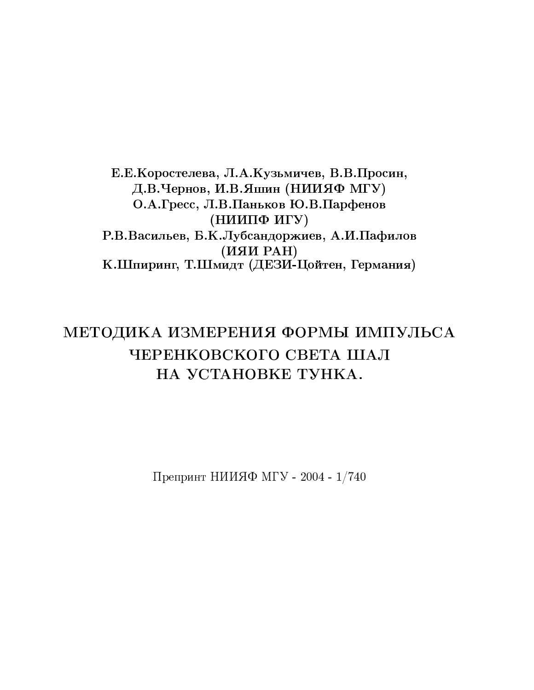Е.Е. Коростелева, Л.А. Кузьмичев, В.В. Просин, Д.В.Чернов, И.В.Яшин (НИИЯФ МГУ) О.А.Гресс, Л.В.Паньков Ю.В.Парфенов (НИИПФ ИГУ) Р.В.Васильев, Б.К.Лубсандоржиев, А.И.Пафилов (HAH PAH) К.Шпиринг, Т.Шмидт (ДЕЗИ-Цойтен, Германия)

# МЕТОДИКА ИЗМЕРЕНИЯ ФОРМЫ ИМПУЛЬСА ЧЕРЕНКОВСКОГО СВЕТА ШАЛ НА УСТАНОВКЕ ТУНКА.

Препринт НИИЯФ МГУ - 2004 - 1/740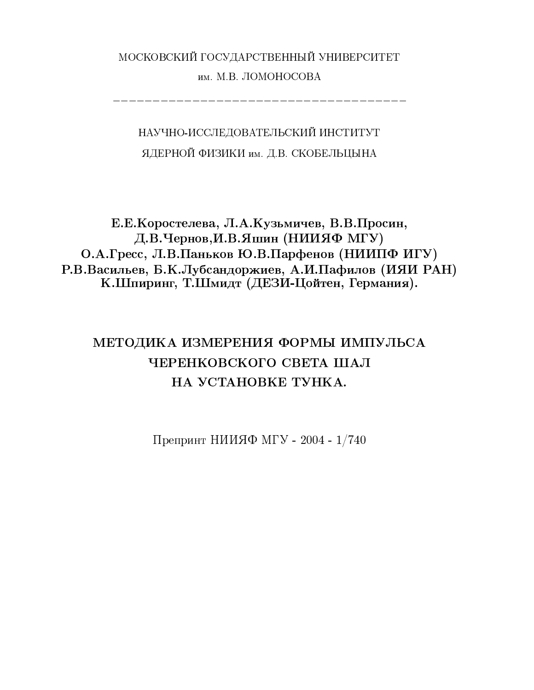# МОСКОВСКИЙ ГОСУДАРСТВЕННЫЙ УНИВЕРСИТЕТ им. М.В. ЛОМОНОСОВА

НАУЧНО-ИССЛЕДОВАТЕЛЬСКИЙ ИНСТИТУТ ЯДЕРНОЙ ФИЗИКИ им. Д.В. СКОБЕЛЬЦЫНА

Е.Е. Коростелева, Л.А. Кузьмичев, В.В. Просин, Д.В.Чернов, И.В.Яшин (НИИЯФ МГУ) О.А.Гресс, Л.В.Паньков Ю.В.Парфенов (НИИПФ ИГУ) Р.В.Васильев, Б.К.Лубсандоржиев, А.И.Пафилов (ИЯИ РАН) К.Шпиринг, Т.Шмидт (ДЕЗИ-Цойтен, Германия).

# МЕТОДИКА ИЗМЕРЕНИЯ ФОРМЫ ИМПУЛЬСА ЧЕРЕНКОВСКОГО СВЕТА ШАЛ НА УСТАНОВКЕ ТУНКА.

Препринт НИИЯФ МГУ - 2004 - 1/740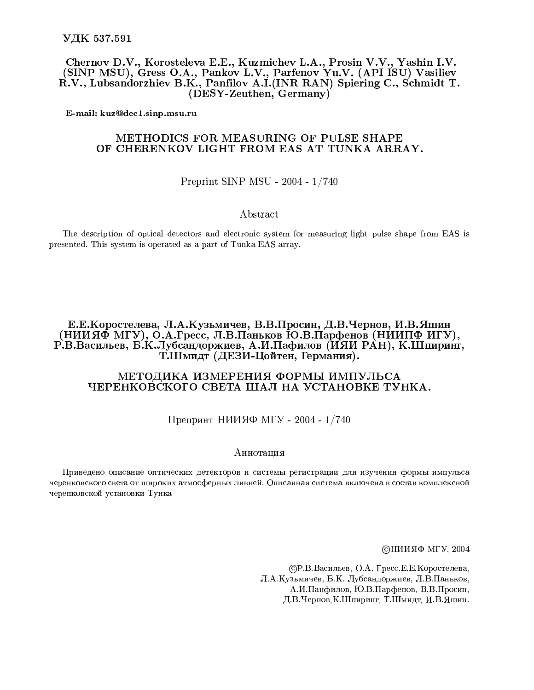Chernov D.V., Korosteleva E.E., Kuzmichev L.A., Prosin V.V., Yashin I.V. (SINP MSU), Gress O.A., Pankov L.V., Parfenov Yu.V. (API ISU) Vasiliev R.V., Lubsandorzhiev B.K., Panfilov A.I.(INR RAN) Spiering C., Schmidt T. (DESY-Zeuthen, Germany)

E-mail: kuz@dec1.sinp.msu.ru

## METHODICS FOR MEASURING OF PULSE SHAPE OF CHERENKOV LIGHT FROM EAS AT TUNKA ARRAY.

### Preprint SINP MSU - 2004 - 1/740

#### Abstract

The description of optical detectors and electronic system for measuring light pulse shape from EAS is presented. This system is operated as a part of Tunka EAS array.

## Е.Е.Коростелева, Л.А.Кузьмичев, В.В.Просин, Д.В.Чернов, И.В.Яшин (НИИЯФ МГУ), О.А.Гресс, Л.В.Паньков Ю.В.Парфенов (НИИПФ ИГУ), Р.В.Васильев, Б.К.Лубсандоржиев, А.И.Пафилов (ИЯИ РАН), К.Шпиринг, Т.Шмидт (ДЕЗИ-Цойтен, Германия).

### МЕТОДИКА ИЗМЕРЕНИЯ ФОРМЫ ИМПУЛЬСА ЧЕРЕНКОВСКОГО СВЕТА ШАЛ НА УСТАНОВКЕ ТУНКА.

## Препринт НИИЯФ МГУ - 2004 - 1/740

#### Аннотация

Приведено описание оптических детекторов и системы регистрации для изучения формы импульса черенковского света от широких атмосферных ливней. Описанная система включена в состав комплексной черенковской установки Тунка

©НИИЯФ МГУ, 2004

СР.В.Васильев, О.А. Гресс.Е.Е. Коростелева, Л.А.Кузьмичев, Б.К. Лубсандоржиев, Л.В.Паньков, А.И.Панфилов, Ю.В.Парфенов, В.В.Просин, Д.В.Чернов, К.Шпиринг, Т.Шмидт, И.В.Яшин.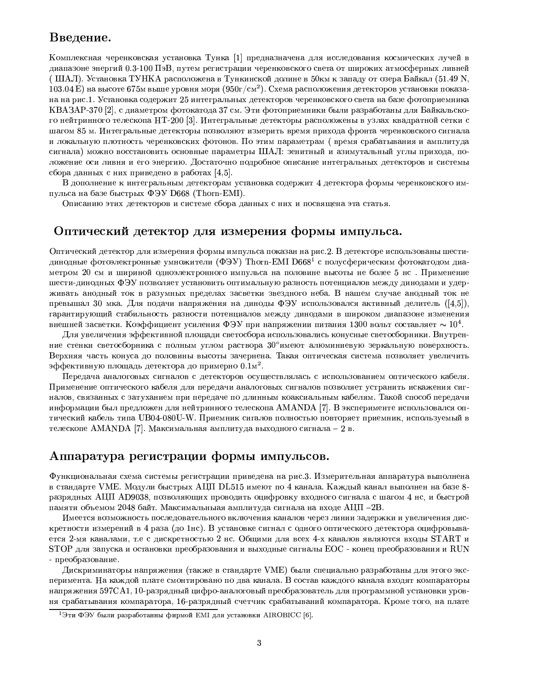# Введение.

|2>&M'@KS47CI-A=<4BTLG67=147=<6I->85&A:I8BDTUW[A=F=BD<4>858I[B gW-<6I8B - @61679+<4BDVC<4BG67=<;B9;S6T34ACAS479+>85[B8<63KTLI&>&A=M'36G47CA:I43KJRS4W-G67CaL5 z }
Ç× rA=F=BD<4>858I[Bfgrfj|lz14B8A=@6>S4>7=<4B\5lghW-<6I436<4A:I->[a 9;>S436<675 vI4M?IVCBD@;B9;Wc>[Fl>8VC7=14B ~BDa6I[BS  -<sup>×</sup> wct <sup>v</sup>N× v8w Ó <4B5[N]A:>[FD7DM 58N^7dW&14>858<6T2M'>[1[T  vPDA=M
 × J&7CMdB`14B[A:@6>S4>7=<636T]9;7CFD7=I6F8>816>[5]W[A=F=BD<6>[58I63l@4>8I8B8VCB aex - radio - radio - radio - radio - radio - radio - radio - radio - radio - radio - radio - radio - radio - r KBA3AP-370 [2], с диаметром фотокатода 37 см. Эти фотоприемники были разработаны для Байкальского нейтринного телескопа HT-200 [3]. Интегральные детекторы расположены в узлах квадратной сетки с шагом 85 м. Интегральные детекторы позволяют измерить время прихода фронта черенковского сигнала и локальную плотность черенковских фотонов. По этим параметрам ( время срабатывания и амплитуда сигнала) можно восстановить основные параметры ШАЛ: зенитный и азимутальный углы прихода, положение оси ливня и его энергию. Достаточно подробное описание интегральных детекторов и системы сбора данных с них приведено в работах [4,5].

В дополнение к интегральным детекторам установка содержит 4 детектора формы черенковского импульса на базе быстрых ФЭУ D668 (Thorn-EMI).

Описанию этих детекторов и системе сбора данных с них и посвящена эта статья.

# Оптический детектор для измерения формы импульса.

Оптический детектор для измерения формы импульса показан на рис.2. В детекторе использованы шестидинодные фотоэлектронные умножители (ФЭУ) Thorn-EMI D668<sup>1</sup> с полусферическим фотокатодом диаметром 20 см и шириной одноэлектронного импульса на половине высоты не более 5 нс. Применение шести-динодных ФЭУ позволяет установить оптимальную разность потенциалов между динодами и удерживать анодный ток в разумных пределах засветки звездного неба. В нашем случае анодный ток не превышал 30 мка. Для подачи напряжения на диноды ФЭУ использовался активный делитель  $([4,5]),$ гарантирующий стабильность разности потенциалов между динодами в широком диапазоне изменения  $\mathbf{1}_{\mathbf{1}_{\mathbf{3}}}$ 

Для увеличения эффективной площади светосбора использовались конусные светосборники. Внутренние стенки светосборника с полным углом раствора 30°имеют алюминиевую зеркальную поверхность. Верхняя часть конуса до половины высоты зачернена. Такая оптическая система позволяет увеличить  $\mathcal{L}=\mathcal{L}^2$ 

Передача аналоговых сигналов с детекторов осуществлялась с использованием оптического кабеля. Применение оптического кабеля для передачи аналоговых сигналов позволяет устранить искажения сигналов, связанных с затуханием при передаче по длинным коаксиальным кабелям. Такой способ передачи информации был предложен для нейтринного телескопа AMANDA [7]. В эксперименте использовался оптический кабель типа UB04-080U-W. Приемник сигалов полностью повторяет приемник, используемый в телескопе AMANDA [7]. Максимальная амплитуда выходного сигнала - 2 в.

# Аппаратура регистрации формы импульсов.

Функциональная схема системы регистрации приведена на рис.3. Измерительная аппаратура выполнена разрядных АЦП АD9038, позволяющих проводить оцифровку входного сигнала с шагом 4 нс, и быстрой памяти объемом 2048 байт. Максимальныая амплитуда сигнала на входе АЦП -2В.

Имеется возможность последовательного включения каналов через линии задержки и увеличения дис- $\mathcal{A}=\mathcal{A}^*$  which is a set of the set of the set of the set of the set of the set of the set of the set of the set of the set of the set of the set of the set of the set of the set of the set of the set of the set of ется 2-мя каналами, т.е с дискретностью 2 нс. Общими для всех 4-х каналов являются входы START и  $STOP$ для запуска и остановки преобразования и выходные сигналы  $EOC$  - конец преобразования и RUN - преобразование.

Дискриминаторы напряжения (также в стандарте VME) были специально разработаны для этого эксперимента. На каждой плате смонтировано по два канала. В состав каждого канала входят компараторы  $\mathbf{S}_{\mathbf{S}}$  and  $\mathbf{S}_{\mathbf{S}}$  and  $\mathbf{S}_{\mathbf{S}}$  and  $\mathbf{S}_{\mathbf{S}}$  and  $\mathbf{S}_{\mathbf{S}}$  and  $\mathbf{S}_{\mathbf{S}}$  and  $\mathbf{S}_{\mathbf{S}}$  and  $\mathbf{S}_{\mathbf{S}}$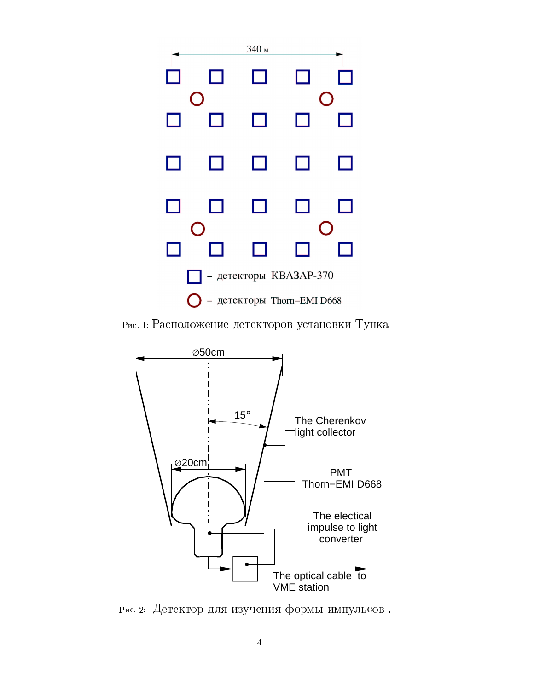

Рис. 1: Расположение детекторов установки Тунка



Рис. 2: Детектор для изучения формы импульсов.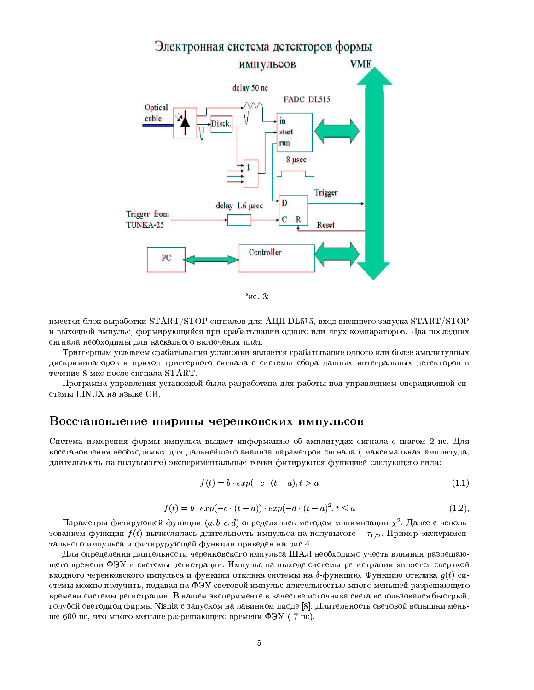

Рис. 3:

имеется блок выработки  $START/STOP$  сигналов для АЦП DL515, вход внешнего запуска  $START/STOP$ и выходной импульс, формирующийся при срабатывании одного или двух компараторов. Два последних сигнала необходимы для каскадного включения плат.

Триггерным условием срабатывания установки является срабатывание одного или более амплитудных дискриминаторов и приход триггерного сигнала с системы сбора данных интегральных детекторов в течение 8 мкс после сигнала START.

Программа управления установкой была разработана для работы под управлением операционной системы LINUX на языке СИ.

# Восстановление ширины черенковских импульсов

Система измерения формы импульса выдает информацию об амплитудах сигнала с шагом 2 нс. Для восстановления необходимых для дальнейшего анализа параметров сигнала (максимальная амплитуда, длительность на полувысоте) экспериментальные точки фитируются функцией следующего вида:

$$
f(t) = b \cdot exp(-c \cdot (t - a), t > a \tag{1.1}
$$

$$
f(t) = b \cdot exp(-c \cdot (t - a)) \cdot exp(-d \cdot (t - a)^2, t \le a \tag{1.2}
$$

Параметры фитирующей функции  $(a, b, c, d)$  определялись методом минимизации  $\chi^2$ . Далее с использованием функции  $f(t)$  вычислялась длительность импульса на полувысоте –  $\tau_{1/2}$ . Пример экспериментального импульса и фитирурующей функции приведен на рис 4.

Лля определения длительности черенковского импульса ШАЛ необходимо учесть влияния разрешающего времени ФЭУ и системы регистрации. Импульс на выходе системы регистрации является сверткой входного черенковского импульса и функции отклика системы на  $\delta$ -функцию. Функцию отклика  $g(t)$  системы можно получить, подавая на ФЭУ световой импульс длительностью много меньшей разрешающего времени системы регистрации. В нашем эксперименте в качестве источника света использовался быстрый, голубой светодиод фирмы Nishia с запуском на лавинном диоде [8]. Длительность световой вспышки меньше 600 нс, что много меньше разрешающего времени ФЭУ (7 нс).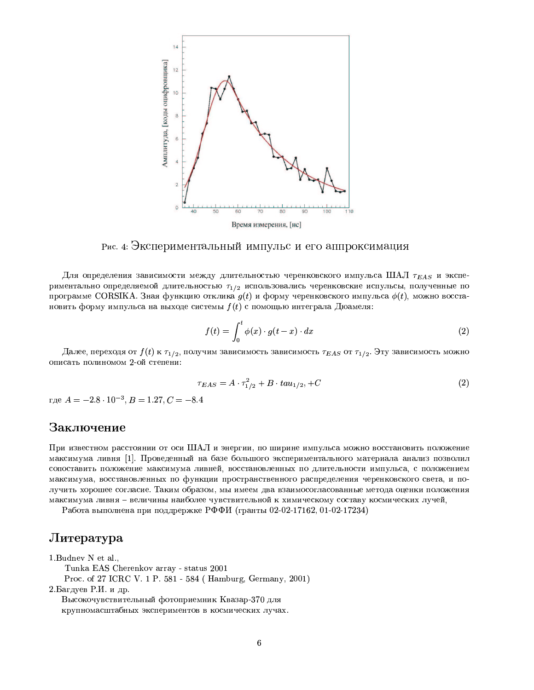

Рис. 4: Экспериментальный импульс и его аппроксимация

Для определения зависимости между длительностью черенковского импульса ШАЛ  $\tau_{EAS}$  и экспериментально определяемой длительностью  $\tau_{1/2}$  использовались черенковские испульсы, полученные по программе CORSIKA. Зная функцию отклика  $g(t)$  и форму черенковского импульса  $\phi(t)$ , можно восстановить форму импульса на выходе системы  $f(t)$  с помощью интеграла Дюамеля:

$$
f(t) = \int_0^t \phi(x) \cdot g(t - x) \cdot dx \tag{2}
$$

Далее, переходя от  $f(t)$  к  $\tau_{1/2}$ , получим зависимость зависимость  $\tau_{EAS}$  от  $\tau_{1/2}$ . Эту зависимость можно описать полиномом 2-ой степени:

$$
\tau_{EAS} = A \cdot \tau_{1/2}^2 + B \cdot t a u_{1/2}, + C \tag{2}
$$

где  $A = -2.8 \cdot 10^{-3}, B = 1.27, C = -8.4$ 

# Заключение

При известном расстоянии от оси ШАЛ и энергии, по ширине импульса можно восстановить положение максимума ливня [1]. Проведенный на базе большого экспериментального материала анализ позволил сопоставить положение максимума ливней, восстановленных по длительности импульса, с положением максимума, восстановленных по функции пространственного распределения черенковского света, и получить хорошее согласие. Таким образом, мы имеем два взаимосогласованные метода оценки положения максимума ливня - величины наиболее чувствительной к химическому составу космических лучей,

Работа выполнена при поддрержке РФФИ (гранты 02-02-17162, 01-02-17234)

# Литература

1.Budney N et al., Tunka EAS Cherenkov array - status 2001 Proc. of 27 ICRC V. 1 P. 581 - 584 ( Hamburg, Germany, 2001) 2.Багдуев Р.И. и др. Высокочувствительный фотоприемник Квазар-370 для крупномасштабных экспериментов в космических лучах.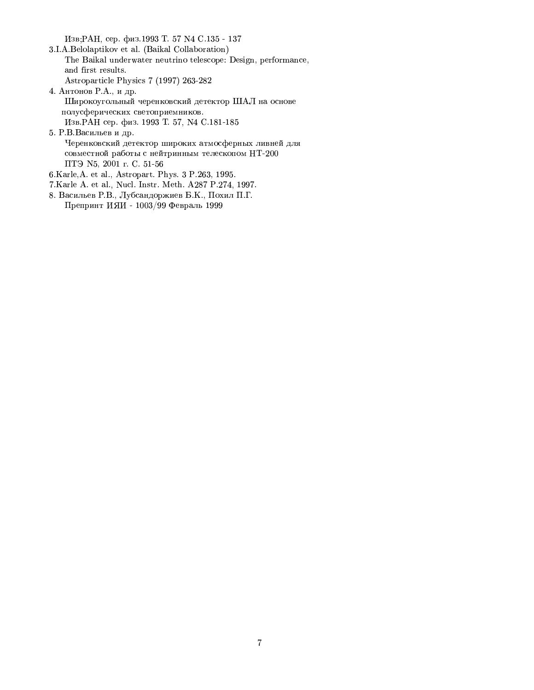Изв;РАН, сер. физ.1993 Т. 57 № С.135 - 137

- 3.I.A.Belolaptikov et al. (Baikal Collaboration) The Baikal underwater neutrino telescope: Design, performance, and first results. Astroparticle Physics 7 (1997) 263-282
- 4. Антонов Р.А., и др. Широкоугольный черенковский детектор ШАЛ на основе полусферических светоприемников. Изв. РАН сер. физ. 1993 Т. 57, № С.181-185
- 5. Р.В.Васильев и др. Черенковский детектор широких атмосферных ливней для совместной работы с нейтринным телескопом НТ-200 ПТЭ N5, 2001 г. С. 51-56
- 6.Karle, A. et al., Astropart. Phys. 3 P.263, 1995.
- 7.Karle A. et al., Nucl. Instr. Meth. A287 P.274, 1997.
- 8. Васильев Р.В., Лубсандоржиев Б.К., Похил П.Г. Препринт ИЯИ - 1003/99 Февраль 1999